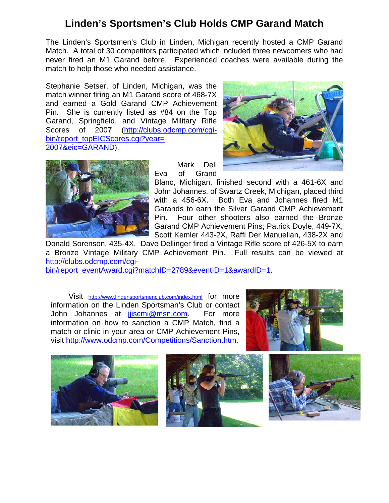## **Linden's Sportsmen's Club Holds CMP Garand Match**

The Linden's Sportsmen's Club in Linden, Michigan recently hosted a CMP Garand Match. A total of 30 competitors participated which included three newcomers who had never fired an M1 Garand before. Experienced coaches were available during the match to help those who needed assistance.

Stephanie Setser, of Linden, Michigan, was the match winner firing an M1 Garand score of 468-7X and earned a Gold Garand CMP Achievement Pin. She is currently listed as #84 on the Top Garand, Springfield, and Vintage Military Rifle Scores of 2007 (http://clubs.odcmp.com/cqibin/report\_topEICScores.cgi?year= 2007&eic=GARAND).





 Mark Dell Eva of Grand

Blanc, Michigan, finished second with a 461-6X and John Johannes, of Swartz Creek, Michigan, placed third with a 456-6X. Both Eva and Johannes fired M1 Garands to earn the Silver Garand CMP Achievement Pin. Four other shooters also earned the Bronze Garand CMP Achievement Pins; Patrick Doyle, 449-7X, Scott Kemler 443-2X, Raffi Der Manuelian, 438-2X and

Donald Sorenson, 435-4X. Dave Dellinger fired a Vintage Rifle score of 426-5X to earn a Bronze Vintage Military CMP Achievement Pin. Full results can be viewed at http://clubs.odcmp.com/cgi-

bin/report\_eventAward.cgi?matchID=2789&eventID=1&awardID=1.

 Visit http://www.lindensportsmenclub.com/index.html for more information on the Linden Sportsman's Club or contact John Johannes at *jjiscmi@msn.com*. For more information on how to sanction a CMP Match, find a match or clinic in your area or CMP Achievement Pins, visit http://www.odcmp.com/Competitions/Sanction.htm.